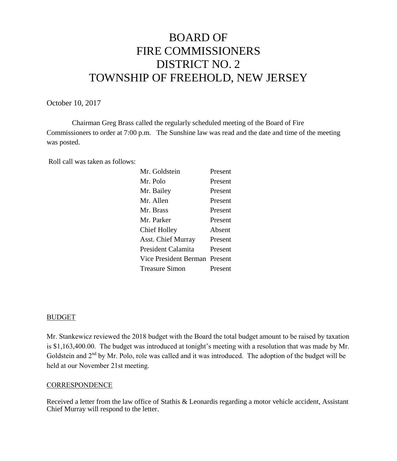# BOARD OF FIRE COMMISSIONERS DISTRICT NO. 2 TOWNSHIP OF FREEHOLD, NEW JERSEY

October 10, 2017

Chairman Greg Brass called the regularly scheduled meeting of the Board of Fire Commissioners to order at 7:00 p.m. The Sunshine law was read and the date and time of the meeting was posted.

Roll call was taken as follows:

| Mr. Goldstein         | Present |
|-----------------------|---------|
| Mr. Polo              | Present |
| Mr. Bailey            | Present |
| Mr. Allen             | Present |
| Mr. Brass             | Present |
| Mr. Parker            | Present |
| <b>Chief Holley</b>   | Absent  |
| Asst. Chief Murray    | Present |
| President Calamita    | Present |
| Vice President Berman | Present |
| <b>Treasure Simon</b> | Present |

#### BUDGET

Mr. Stankewicz reviewed the 2018 budget with the Board the total budget amount to be raised by taxation is \$1,163,400.00. The budget was introduced at tonight's meeting with a resolution that was made by Mr. Goldstein and 2<sup>nd</sup> by Mr. Polo, role was called and it was introduced. The adoption of the budget will be held at our November 21st meeting.

#### **CORRESPONDENCE**

Received a letter from the law office of Stathis & Leonardis regarding a motor vehicle accident, Assistant Chief Murray will respond to the letter.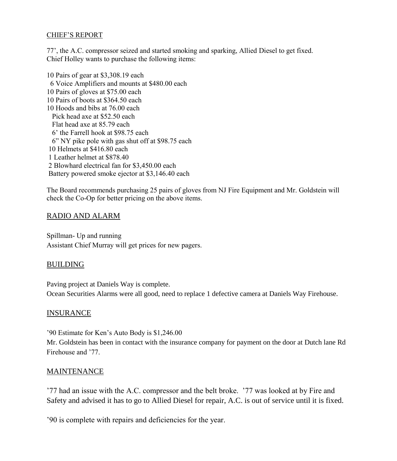#### CHIEF'S REPORT

77', the A.C. compressor seized and started smoking and sparking, Allied Diesel to get fixed. Chief Holley wants to purchase the following items:

10 Pairs of gear at \$3,308.19 each 6 Voice Amplifiers and mounts at \$480.00 each 10 Pairs of gloves at \$75.00 each 10 Pairs of boots at \$364.50 each 10 Hoods and bibs at 76.00 each Pick head axe at \$52.50 each Flat head axe at 85.79 each 6' the Farrell hook at \$98.75 each 6" NY pike pole with gas shut off at \$98.75 each 10 Helmets at \$416.80 each 1 Leather helmet at \$878.40 2 Blowhard electrical fan for \$3,450.00 each Battery powered smoke ejector at \$3,146.40 each

The Board recommends purchasing 25 pairs of gloves from NJ Fire Equipment and Mr. Goldstein will check the Co-Op for better pricing on the above items.

## RADIO AND ALARM

Spillman- Up and running Assistant Chief Murray will get prices for new pagers.

### BUILDING

Paving project at Daniels Way is complete. Ocean Securities Alarms were all good, need to replace 1 defective camera at Daniels Way Firehouse.

### INSURANCE

'90 Estimate for Ken's Auto Body is \$1,246.00

Mr. Goldstein has been in contact with the insurance company for payment on the door at Dutch lane Rd Firehouse and '77.

### MAINTENANCE

'77 had an issue with the A.C. compressor and the belt broke. '77 was looked at by Fire and Safety and advised it has to go to Allied Diesel for repair, A.C. is out of service until it is fixed.

'90 is complete with repairs and deficiencies for the year.